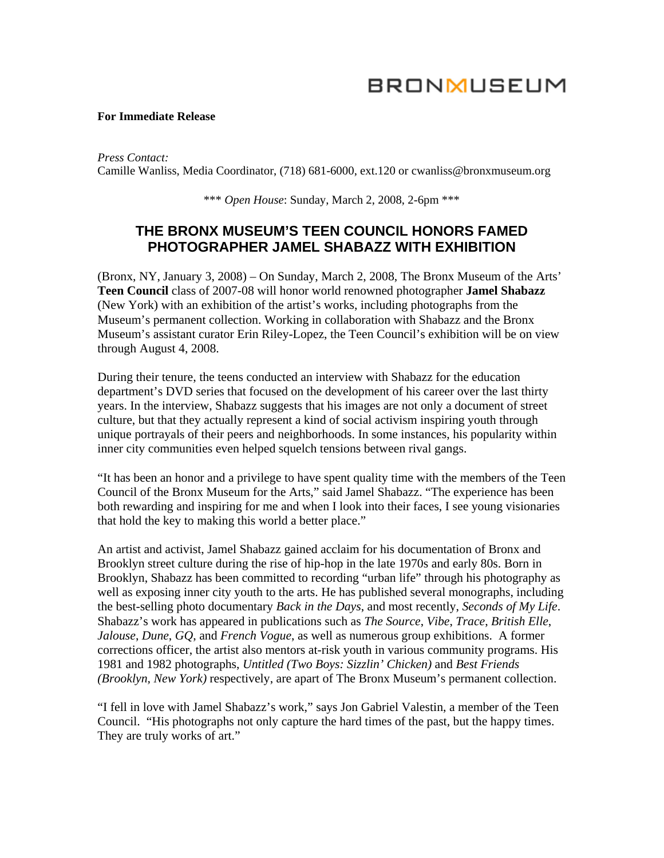# **BRONMUSEUM**

#### **For Immediate Release**

*Press Contact:*  Camille Wanliss, Media Coordinator, (718) 681-6000, ext.120 or cwanliss@bronxmuseum.org

\*\*\* *Open House*: Sunday, March 2, 2008, 2-6pm \*\*\*

## **THE BRONX MUSEUM'S TEEN COUNCIL HONORS FAMED PHOTOGRAPHER JAMEL SHABAZZ WITH EXHIBITION**

(Bronx, NY, January 3, 2008) – On Sunday, March 2, 2008, The Bronx Museum of the Arts' **Teen Council** class of 2007-08 will honor world renowned photographer **Jamel Shabazz** (New York) with an exhibition of the artist's works, including photographs from the Museum's permanent collection. Working in collaboration with Shabazz and the Bronx Museum's assistant curator Erin Riley-Lopez, the Teen Council's exhibition will be on view through August 4, 2008.

During their tenure, the teens conducted an interview with Shabazz for the education department's DVD series that focused on the development of his career over the last thirty years. In the interview, Shabazz suggests that his images are not only a document of street culture, but that they actually represent a kind of social activism inspiring youth through unique portrayals of their peers and neighborhoods. In some instances, his popularity within inner city communities even helped squelch tensions between rival gangs.

"It has been an honor and a privilege to have spent quality time with the members of the Teen Council of the Bronx Museum for the Arts," said Jamel Shabazz. "The experience has been both rewarding and inspiring for me and when I look into their faces, I see young visionaries that hold the key to making this world a better place."

An artist and activist, Jamel Shabazz gained acclaim for his documentation of Bronx and Brooklyn street culture during the rise of hip-hop in the late 1970s and early 80s. Born in Brooklyn, Shabazz has been committed to recording "urban life" through his photography as well as exposing inner city youth to the arts. He has published several monographs, including the best-selling photo documentary *Back in the Days*, and most recently, *Seconds of My Life*. Shabazz's work has appeared in publications such as *The Source*, *Vibe*, *Trace*, *British Elle*, *Jalouse*, *Dune*, *GQ*, and *French Vogue*, as well as numerous group exhibitions. A former corrections officer, the artist also mentors at-risk youth in various community programs. His 1981 and 1982 photographs, *Untitled (Two Boys: Sizzlin' Chicken)* and *Best Friends (Brooklyn, New York)* respectively, are apart of The Bronx Museum's permanent collection.

"I fell in love with Jamel Shabazz's work," says Jon Gabriel Valestin, a member of the Teen Council. "His photographs not only capture the hard times of the past, but the happy times. They are truly works of art."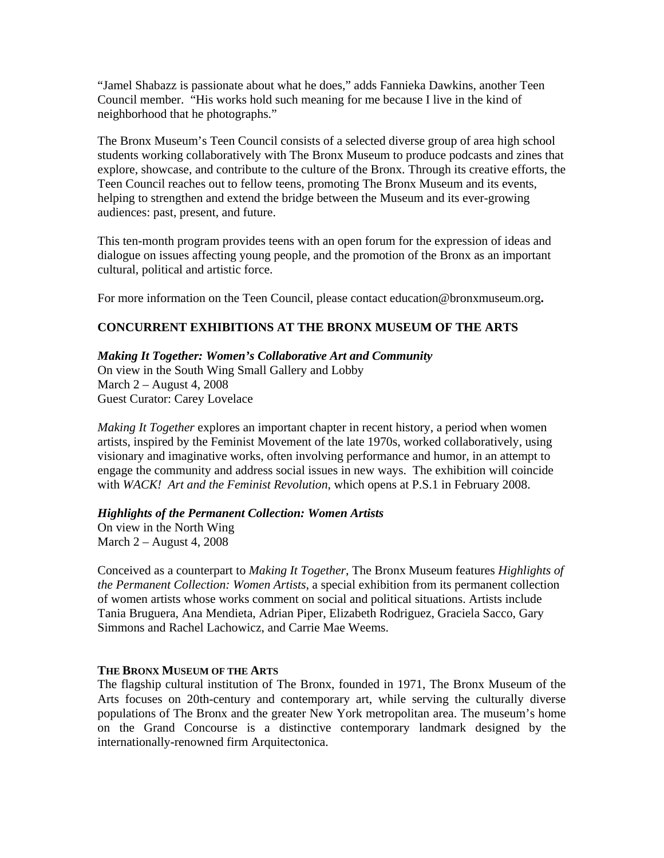"Jamel Shabazz is passionate about what he does," adds Fannieka Dawkins, another Teen Council member. "His works hold such meaning for me because I live in the kind of neighborhood that he photographs."

The Bronx Museum's Teen Council consists of a selected diverse group of area high school students working collaboratively with The Bronx Museum to produce podcasts and zines that explore, showcase, and contribute to the culture of the Bronx. Through its creative efforts, the Teen Council reaches out to fellow teens, promoting The Bronx Museum and its events, helping to strengthen and extend the bridge between the Museum and its ever-growing audiences: past, present, and future.

This ten-month program provides teens with an open forum for the expression of ideas and dialogue on issues affecting young people, and the promotion of the Bronx as an important cultural, political and artistic force.

For more information on the Teen Council, please contact [education@bronxmuseum.org](mailto:education@bronxmuseum.org)**.**

## **CONCURRENT EXHIBITIONS AT THE BRONX MUSEUM OF THE ARTS**

## *Making It Together: Women's Collaborative Art and Community*

On view in the South Wing Small Gallery and Lobby March 2 – August 4, 2008 Guest Curator: Carey Lovelace

*Making It Together* explores an important chapter in recent history, a period when women artists, inspired by the Feminist Movement of the late 1970s, worked collaboratively, using visionary and imaginative works, often involving performance and humor, in an attempt to engage the community and address social issues in new ways. The exhibition will coincide with *WACK! Art and the Feminist Revolution*, which opens at P.S.1 in February 2008.

### *Highlights of the Permanent Collection: Women Artists*

On view in the North Wing March 2 – August 4, 2008

Conceived as a counterpart to *Making It Together*, The Bronx Museum features *Highlights of the Permanent Collection: Women Artists,* a special exhibition from its permanent collection of women artists whose works comment on social and political situations. Artists include Tania Bruguera, Ana Mendieta, Adrian Piper, Elizabeth Rodriguez, Graciela Sacco, Gary Simmons and Rachel Lachowicz, and Carrie Mae Weems.

## **THE BRONX MUSEUM OF THE ARTS**

The flagship cultural institution of The Bronx, founded in 1971, The Bronx Museum of the Arts focuses on 20th-century and contemporary art, while serving the culturally diverse populations of The Bronx and the greater New York metropolitan area. The museum's home on the Grand Concourse is a distinctive contemporary landmark designed by the internationally-renowned firm Arquitectonica.